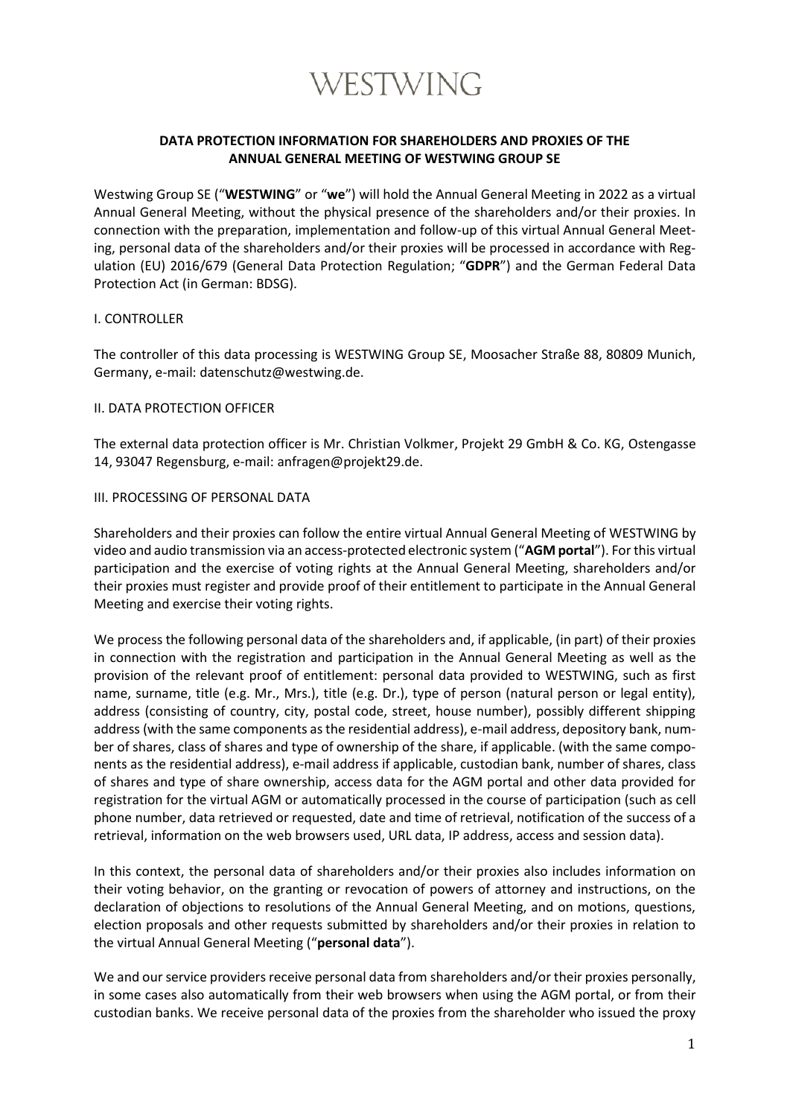

# **DATA PROTECTION INFORMATION FOR SHAREHOLDERS AND PROXIES OF THE ANNUAL GENERAL MEETING OF WESTWING GROUP SE**

Westwing Group SE ("**WESTWING**" or "**we**") will hold the Annual General Meeting in 2022 as a virtual Annual General Meeting, without the physical presence of the shareholders and/or their proxies. In connection with the preparation, implementation and follow-up of this virtual Annual General Meeting, personal data of the shareholders and/or their proxies will be processed in accordance with Regulation (EU) 2016/679 (General Data Protection Regulation; "**GDPR**") and the German Federal Data Protection Act (in German: BDSG).

#### I. CONTROLLER

The controller of this data processing is WESTWING Group SE, Moosacher Straße 88, 80809 Munich, Germany, e-mail: datenschutz@westwing.de.

#### II. DATA PROTECTION OFFICER

The external data protection officer is Mr. Christian Volkmer, Projekt 29 GmbH & Co. KG, Ostengasse 14, 93047 Regensburg, e-mail: anfragen@projekt29.de.

#### III. PROCESSING OF PERSONAL DATA

Shareholders and their proxies can follow the entire virtual Annual General Meeting of WESTWING by video and audio transmission via an access-protected electronic system ("**AGM portal**"). For this virtual participation and the exercise of voting rights at the Annual General Meeting, shareholders and/or their proxies must register and provide proof of their entitlement to participate in the Annual General Meeting and exercise their voting rights.

We process the following personal data of the shareholders and, if applicable, (in part) of their proxies in connection with the registration and participation in the Annual General Meeting as well as the provision of the relevant proof of entitlement: personal data provided to WESTWING, such as first name, surname, title (e.g. Mr., Mrs.), title (e.g. Dr.), type of person (natural person or legal entity), address (consisting of country, city, postal code, street, house number), possibly different shipping address (with the same components as the residential address), e-mail address, depository bank, number of shares, class of shares and type of ownership of the share, if applicable. (with the same components as the residential address), e-mail address if applicable, custodian bank, number of shares, class of shares and type of share ownership, access data for the AGM portal and other data provided for registration for the virtual AGM or automatically processed in the course of participation (such as cell phone number, data retrieved or requested, date and time of retrieval, notification of the success of a retrieval, information on the web browsers used, URL data, IP address, access and session data).

In this context, the personal data of shareholders and/or their proxies also includes information on their voting behavior, on the granting or revocation of powers of attorney and instructions, on the declaration of objections to resolutions of the Annual General Meeting, and on motions, questions, election proposals and other requests submitted by shareholders and/or their proxies in relation to the virtual Annual General Meeting ("**personal data**").

We and our service providers receive personal data from shareholders and/or their proxies personally, in some cases also automatically from their web browsers when using the AGM portal, or from their custodian banks. We receive personal data of the proxies from the shareholder who issued the proxy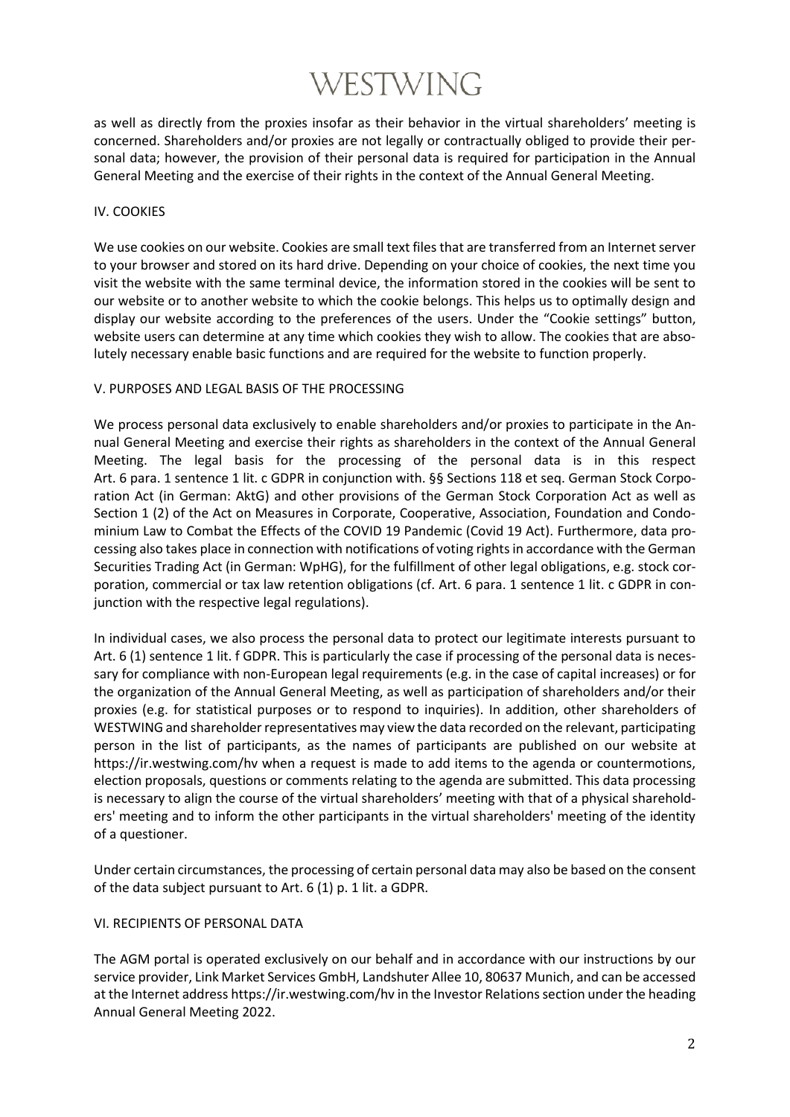# WESTWING

as well as directly from the proxies insofar as their behavior in the virtual shareholders' meeting is concerned. Shareholders and/or proxies are not legally or contractually obliged to provide their personal data; however, the provision of their personal data is required for participation in the Annual General Meeting and the exercise of their rights in the context of the Annual General Meeting.

# IV. COOKIES

We use cookies on our website. Cookies are small text files that are transferred from an Internet server to your browser and stored on its hard drive. Depending on your choice of cookies, the next time you visit the website with the same terminal device, the information stored in the cookies will be sent to our website or to another website to which the cookie belongs. This helps us to optimally design and display our website according to the preferences of the users. Under the "Cookie settings" button, website users can determine at any time which cookies they wish to allow. The cookies that are absolutely necessary enable basic functions and are required for the website to function properly.

# V. PURPOSES AND LEGAL BASIS OF THE PROCESSING

We process personal data exclusively to enable shareholders and/or proxies to participate in the Annual General Meeting and exercise their rights as shareholders in the context of the Annual General Meeting. The legal basis for the processing of the personal data is in this respect Art. 6 para. 1 sentence 1 lit. c GDPR in conjunction with. §§ Sections 118 et seq. German Stock Corporation Act (in German: AktG) and other provisions of the German Stock Corporation Act as well as Section 1 (2) of the Act on Measures in Corporate, Cooperative, Association, Foundation and Condominium Law to Combat the Effects of the COVID 19 Pandemic (Covid 19 Act). Furthermore, data processing also takes place in connection with notifications of voting rights in accordance with the German Securities Trading Act (in German: WpHG), for the fulfillment of other legal obligations, e.g. stock corporation, commercial or tax law retention obligations (cf. Art. 6 para. 1 sentence 1 lit. c GDPR in conjunction with the respective legal regulations).

In individual cases, we also process the personal data to protect our legitimate interests pursuant to Art. 6 (1) sentence 1 lit. f GDPR. This is particularly the case if processing of the personal data is necessary for compliance with non-European legal requirements (e.g. in the case of capital increases) or for the organization of the Annual General Meeting, as well as participation of shareholders and/or their proxies (e.g. for statistical purposes or to respond to inquiries). In addition, other shareholders of WESTWING and shareholder representatives may view the data recorded on the relevant, participating person in the list of participants, as the names of participants are published on our website at https://ir.westwing.com/hv when a request is made to add items to the agenda or countermotions, election proposals, questions or comments relating to the agenda are submitted. This data processing is necessary to align the course of the virtual shareholders' meeting with that of a physical shareholders' meeting and to inform the other participants in the virtual shareholders' meeting of the identity of a questioner.

Under certain circumstances, the processing of certain personal data may also be based on the consent of the data subject pursuant to Art. 6 (1) p. 1 lit. a GDPR.

# VI. RECIPIENTS OF PERSONAL DATA

The AGM portal is operated exclusively on our behalf and in accordance with our instructions by our service provider, Link Market Services GmbH, Landshuter Allee 10, 80637 Munich, and can be accessed at the Internet addres[s https://ir.westwing.com/hv](https://ir.westwing.com/hv) in the Investor Relations section under the heading Annual General Meeting 2022.